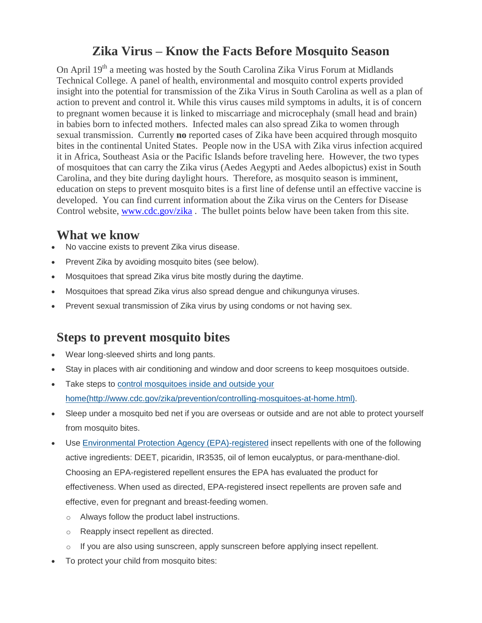## **Zika Virus – Know the Facts Before Mosquito Season**

On April 19<sup>th</sup> a meeting was hosted by the South Carolina Zika Virus Forum at Midlands Technical College. A panel of health, environmental and mosquito control experts provided insight into the potential for transmission of the Zika Virus in South Carolina as well as a plan of action to prevent and control it. While this virus causes mild symptoms in adults, it is of concern to pregnant women because it is linked to miscarriage and microcephaly (small head and brain) in babies born to infected mothers. Infected males can also spread Zika to women through sexual transmission. Currently **no** reported cases of Zika have been acquired through mosquito bites in the continental United States. People now in the USA with Zika virus infection acquired it in Africa, Southeast Asia or the Pacific Islands before traveling here. However, the two types of mosquitoes that can carry the Zika virus (Aedes Aegypti and Aedes albopictus) exist in South Carolina, and they bite during daylight hours. Therefore, as mosquito season is imminent, education on steps to prevent mosquito bites is a first line of defense until an effective vaccine is developed. You can find current information about the Zika virus on the Centers for Disease Control website, [www.cdc.gov/zika](http://www.cdc.gov/zika). The bullet points below have been taken from this site.

## **What we know**

- No vaccine exists to prevent Zika virus disease.
- Prevent Zika by avoiding mosquito bites (see below).
- Mosquitoes that spread Zika virus bite mostly during the daytime.
- Mosquitoes that spread Zika virus also spread dengue and chikungunya viruses.
- Prevent sexual transmission of Zika virus by using condoms or not having sex.

## **Steps to prevent mosquito bites**

- Wear long-sleeved shirts and long pants.
- Stay in places with air conditioning and window and door screens to keep mosquitoes outside.
- Take steps to control mosquitoes inside and outside your [home\(http://www.cdc.gov/zika/prevention/controlling-mosquitoes-at-home.html\).](http://www.cdc.gov/zika/prevention/controlling-mosquitoes-at-home.html)
- Sleep under a mosquito bed net if you are overseas or outside and are not able to protect yourself from mosquito bites.
- Use [Environmental Protection Agency \(EPA\)-registered](http://www.epa.gov/insect-repellents/find-insect-repellent-right-you) insect repellents with one of the following active ingredients: DEET, picaridin, IR3535, oil of lemon eucalyptus, or para-menthane-diol. Choosing an EPA-registered repellent ensures the EPA has evaluated the product for effectiveness. When used as directed, EPA-registered insect repellents are proven safe and effective, even for pregnant and breast-feeding women.
	- o Always follow the product label instructions.
	- o Reapply insect repellent as directed.
	- $\circ$  If you are also using sunscreen, apply sunscreen before applying insect repellent.
- To protect your child from mosquito bites: